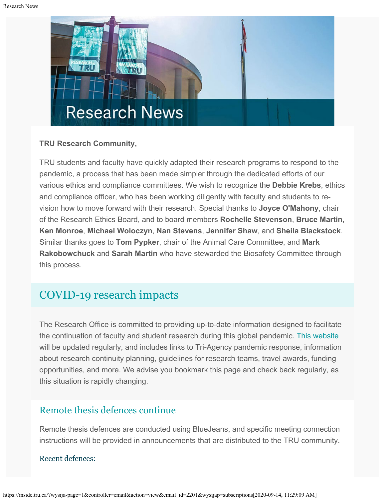

#### **TRU Research Community,**

TRU students and faculty have quickly adapted their research programs to respond to the pandemic, a process that has been made simpler through the dedicated efforts of our various ethics and compliance committees. We wish to recognize the **Debbie Krebs**, ethics and compliance officer, who has been working diligently with faculty and students to revision how to move forward with their research. Special thanks to **Joyce O'Mahony**, chair of the Research Ethics Board, and to board members **Rochelle Stevenson**, **Bruce Martin**, **Ken Monroe**, **Michael Woloczyn**, **Nan Stevens**, **Jennifer Shaw**, and **Sheila Blackstock**. Similar thanks goes to **Tom Pypker**, chair of the Animal Care Committee, and **Mark Rakobowchuck** and **Sarah Martin** who have stewarded the Biosafety Committee through this process.

# [COVID-19 research impacts](https://www.tru.ca/research/covid-19-research-impacts.html)

The Research Office is committed to providing up-to-date information designed to facilitate the continuation of faculty and student research during this global pandemic. [This website](https://www.tru.ca/research/covid-19-research-impacts.html) will be updated regularly, and includes links to Tri-Agency pandemic response, information about research continuity planning, guidelines for research teams, travel awards, funding opportunities, and more. We advise you bookmark this page and check back regularly, as this situation is rapidly changing.

### [Remote thesis defences continue](https://www.tru.ca/research/graduate-studies/remote-thesis-defence-procedures.html)

Remote thesis defences are conducted using BlueJeans, and specific meeting connection instructions will be provided in announcements that are distributed to the TRU community.

Recent defences: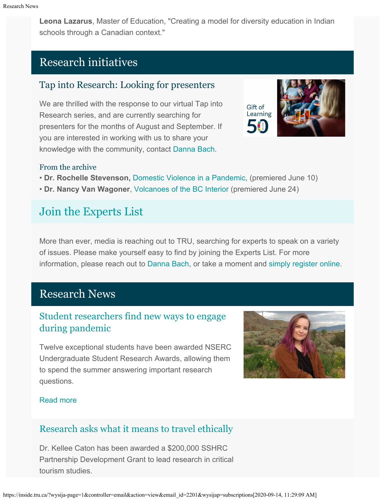**Leona Lazarus**, Master of Education, "Creating a model for diversity education in Indian schools through a Canadian context."

# Research initiatives

## Tap into Research: Looking for presenters

We are thrilled with the response to our virtual Tap into Research series, and are currently searching for presenters for the months of August and September. If you are interested in working with us to share your knowledge with the community, contact [Danna Bach](mailto:dbach@tru.ca).



#### From the archive

- **Dr. Rochelle Stevenson,** [Domestic Violence in a Pandemic](https://youtu.be/v_-AMhmFm2M), (premiered June 10)
- **Dr. Nancy Van Wagoner**, [Volcanoes of the BC Interior](https://youtu.be/xXBgQVwuHU4) (premiered June 24)

# [Join the Experts List](https://inside.tru.ca/find-an-expert/experts-registration-update/)

More than ever, media is reaching out to TRU, searching for experts to speak on a variety of issues. Please make yourself easy to find by joining the Experts List. For more information, please reach out to [Danna Bach,](mailto:dbach@tru.ca) or take a moment and [simply register online](https://inside.tru.ca/find-an-expert/experts-registration-update/).

# Research News

## [Student researchers find new ways to engage](http://inside.tru.ca/2020/07/08/student-researchers-find-new-ways-to-engage-during-pandemic/) [during pandemic](http://inside.tru.ca/2020/07/08/student-researchers-find-new-ways-to-engage-during-pandemic/)

Twelve exceptional students have been awarded NSERC Undergraduate Student Research Awards, allowing them to spend the summer answering important research questions.



#### [Read more](http://inside.tru.ca/2020/07/08/student-researchers-find-new-ways-to-engage-during-pandemic/)

## [Research asks what it means to travel ethically](http://inside.tru.ca/2020/07/02/research-asks-what-it-means-to-travel-ethically/)

Dr. Kellee Caton has been awarded a \$200,000 SSHRC Partnership Development Grant to lead research in critical tourism studies.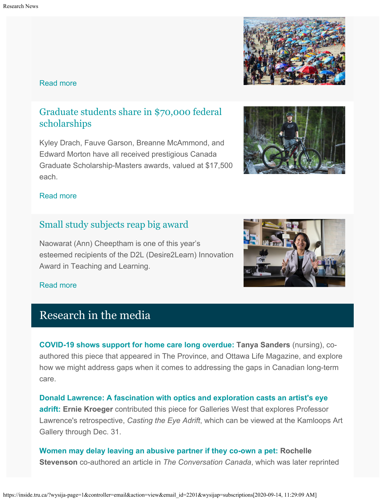#### [Read more](http://inside.tru.ca/2020/07/02/research-asks-what-it-means-to-travel-ethically/)

## [Graduate students share in \\$70,000 federal](http://inside.tru.ca/2020/06/25/graduate-students-share-in-70000-federal-scholarships/) [scholarships](http://inside.tru.ca/2020/06/25/graduate-students-share-in-70000-federal-scholarships/)

Kyley Drach, Fauve Garson, Breanne McAmmond, and Edward Morton have all received prestigious Canada Graduate Scholarship-Masters awards, valued at \$17,500 each.

#### [Read more](http://inside.tru.ca/2020/06/25/graduate-students-share-in-70000-federal-scholarships/)

## [Small study subjects reap big award](http://inside.tru.ca/2020/06/11/small-study-subjects-reap-big-award/)

Naowarat (Ann) Cheeptham is one of this year's esteemed recipients of the D2L (Desire2Learn) Innovation Award in Teaching and Learning.

#### [Read more](http://inside.tru.ca/2020/06/11/small-study-subjects-reap-big-award/)

## Research in the media

**[COVID-19 shows support for home care long overdue:](https://theprovince.com/opinion/kelli-stajduhar-and-tanya-sanders-covid-19-shows-support-for-home-care-long-overdue) Tanya Sanders** (nursing), coauthored this piece that appeared in The Province, and Ottawa Life Magazine, and explore how we might address gaps when it comes to addressing the gaps in Canadian long-term care.

**[Donald Lawrence: A fascination with optics and exploration casts an artist's eye](https://www.gallerieswest.ca/magazine/stories/donald-lawrence/) [adrift:](https://www.gallerieswest.ca/magazine/stories/donald-lawrence/) Ernie Kroeger** contributed this piece for Galleries West that explores Professor Lawrence's retrospective, *Casting the Eye Adrift*, which can be viewed at the Kamloops Art Gallery through Dec. 31.

**[Women may delay leaving an abusive partner if they co-own a pet:](https://www.halifaxtoday.ca/local-news/women-may-delay-leaving-an-abusive-partner-if-they-co-own-a-pet-2522441) Rochelle Stevenson** co-authored an article in *The Conversation Canada*, which was later reprinted





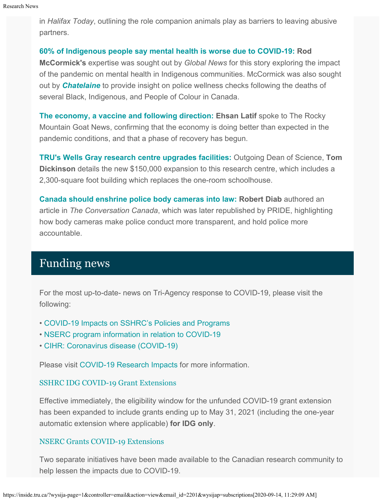in *Halifax Today*, outlining the role companion animals play as barriers to leaving abusive partners.

#### **[60% of Indigenous people say mental health is worse due to COVID-19:](https://globalnews.ca/news/7096615/coronavirus-indigenous-mental-health-canada/) Rod**

**McCormick's** expertise was sought out by *Global News* for this story exploring the impact of the pandemic on mental health in Indigenous communities. McCormick was also sought out by *[Chatelaine](https://www.flare.com/health/wellness-check-meaning/)* to provide insight on police wellness checks following the deaths of several Black, Indigenous, and People of Colour in Canada.

**[The economy, a vaccine and following direction:](https://www.therockymountaingoat.com/2020/06/balsam-ranch-growing-extra-just-in-case/) Ehsan Latif** spoke to The Rocky Mountain Goat News, confirming that the economy is doing better than expected in the pandemic conditions, and that a phase of recovery has begun.

**[TRU's Wells Gray research centre upgrades facilities:](https://www.clearwatertimes.com/news/trus-wells-gray-research-centre-upgrades-facilities/)** Outgoing Dean of Science, **Tom Dickinson** details the new \$150,000 expansion to this research centre, which includes a 2,300-square foot building which replaces the one-room schoolhouse.

**[Canada should enshrine police body cameras into law:](http://pridenews.ca/2020/06/16/canada-enshrine-police-body-cameras-law/) Robert Diab** authored an article in *The Conversation Canada*, which was later republished by PRIDE, highlighting how body cameras make police conduct more transparent, and hold police more accountable.

# Funding news

For the most up-to-date- news on Tri-Agency response to COVID-19, please visit the following:

- [COVID-19 Impacts on SSHRC's Policies and Programs](https://www.sshrc-crsh.gc.ca/news_room-salle_de_presse/covid-19-eng.aspx)
- [NSERC program information in relation to COVID-19](https://www.nserc-crsng.gc.ca/Media-Media/NewsRelease-CommuniqueDePresse_eng.asp?ID=1139)
- [CIHR: Coronavirus disease \(COVID-19\)](https://cihr-irsc.gc.ca/e/51917.html)

Please visit [COVID-19 Research Impacts](https://www.tru.ca/research/covid-19-research-impacts.html) for more information.

#### [SSHRC IDG COVID-19 Grant Extensions](https://www.sshrc-crsh.gc.ca/news_room-salle_de_presse/covid-19-eng.aspx)

Effective immediately, the eligibility window for the unfunded COVID-19 grant extension has been expanded to include grants ending up to May 31, 2021 (including the one-year automatic extension where applicable) **for IDG only**.

#### [NSERC Grants COVID-19 Extensions](https://www.nserc-crsng.gc.ca/Professors-Professeurs/FAQ-FAQ/DG-SD_eng.asp)

Two separate initiatives have been made available to the Canadian research community to help lessen the impacts due to COVID-19.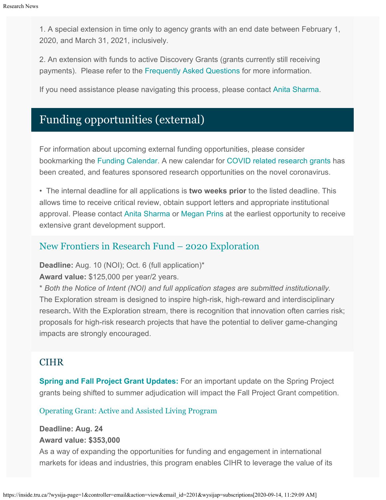1. A special extension in time only to agency grants with an end date between February 1, 2020, and March 31, 2021, inclusively.

2. An extension with funds to active Discovery Grants (grants currently still receiving payments). Please refer to the [Frequently Asked Questions](https://www.nserc-crsng.gc.ca/Professors-Professeurs/FAQ-F) for more information.

If you need assistance please navigating this process, please contact [Anita Sharma](mailto:ansharma@tru.ca).

# Funding opportunities (external)

For information about upcoming external funding opportunities, please consider bookmarking the [Funding Calendar](https://www.tru.ca/research/research-services/research-services-faculty/faculty-research-funding/funding-deadlines.html). A new calendar for [COVID related research grants](https://www.tru.ca/research/research-services/research-services-faculty/faculty-research-funding/funding-deadlines.html) has been created, and features sponsored research opportunities on the novel coronavirus.

• The internal deadline for all applications is **two weeks prior** to the listed deadline. This allows time to receive critical review, obtain support letters and appropriate institutional approval. Please contact [Anita Sharma](mailto:ansharma@tru.ca) or [Megan Prins](mailto:mprins@tru.ca) at the earliest opportunity to receive extensive grant development support.

## [New Frontiers in Research Fund – 2020 Exploration](https://www.sshrc-crsh.gc.ca/funding-financement/nfrf-fnfr/exploration/2020/competition-concours-eng.aspx)

**Deadline:** Aug. 10 (NOI); Oct. 6 (full application)\*

**Award value:** \$125,000 per year/2 years.

\* *Both the Notice of Intent (NOI) and full application stages are submitted institutionally.* The Exploration stream is designed to inspire high-risk, high-reward and interdisciplinary research**.** With the Exploration stream, there is recognition that innovation often carries risk; proposals for high-risk research projects that have the potential to deliver game-changing impacts are strongly encouraged.

### **CIHR**

**[Spring and Fall Project Grant Updates:](https://cihr-irsc.gc.ca/e/51996.html)** For an important update on the Spring Project grants being shifted to summer adjudication will impact the Fall Project Grant competition.

[Operating Grant: Active and Assisted Living Program](https://www.researchnet-recherchenet.ca/rnr16/vwOpprtntyDtls.do?prog=3268&view=currentOpps&org=CIHR&type=EXACT&resultCount=25&sort=program&all=1&masterList=true)

#### **Deadline: Aug. 24 Award value: \$353,000**

As a way of expanding the opportunities for funding and engagement in international markets for ideas and industries, this program enables CIHR to leverage the value of its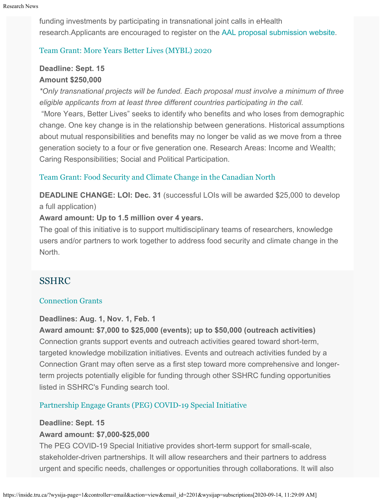funding investments by participating in transnational joint calls in eHealth research.Applicants are encouraged to register on the [AAL proposal submission website](https://ems.aal-europe.eu/).

#### [Team Grant: More Years Better Lives \(MYBL\) 2020](https://www.researchnet-recherchenet.ca/rnr16/vwOpprtntyDtls.do?prog=3348&view=currentOpps&org=CIHR&type=EXACT&resultCount=25&sort=program&next=1&all=1&masterList=true)

### **Deadline: Sept. 15 Amount \$250,000**

*\*Only transnational projects will be funded. Each proposal must involve a minimum of three eligible applicants from at least three different countries participating in the call.*

"More Years, Better Lives" seeks to identify who benefits and who loses from demographic change. One key change is in the relationship between generations. Historical assumptions about mutual responsibilities and benefits may no longer be valid as we move from a three generation society to a four or five generation one. Research Areas: Income and Wealth; Caring Responsibilities; Social and Political Participation.

#### [Team Grant: Food Security and Climate Change in the Canadian North](https://www.researchnet-recherchenet.ca/rnr16/vwOpprtntyDtls.do?prog=3269&view=search&launchMonth=2&launchYear=2020&type=EXACT&resultCount=25&next=1)

**DEADLINE CHANGE: LOI: Dec. 31** (successful LOIs will be awarded \$25,000 to develop a full application)

#### **Award amount: Up to 1.5 million over 4 years.**

The goal of this initiative is to support multidisciplinary teams of researchers, knowledge users and/or partners to work together to address food security and climate change in the North.

#### SSHRC

#### [Connection Grants](http://www.sshrc-crsh.gc.ca/funding-financement/programs-programmes/connection_grants-subventions_connexion-eng.aspx)

#### **Deadlines: Aug. 1, Nov. 1, Feb. 1**

**Award amount: \$7,000 to \$25,000 (events); up to \$50,000 (outreach activities)** Connection grants support events and outreach activities geared toward short-term, targeted knowledge mobilization initiatives. Events and outreach activities funded by a Connection Grant may often serve as a first step toward more comprehensive and longerterm projects potentially eligible for funding through other SSHRC funding opportunities listed in SSHRC's Funding search tool.

#### [Partnership Engage Grants \(PEG\) COVID-19 Special Initiative](https://www.sshrc-crsh.gc.ca/funding-financement/programs-programmes/peg-sep-covid-19-eng.aspx)

#### **Deadline: Sept. 15**

#### **Award amount: \$7,000-\$25,000**

The PEG COVID-19 Special Initiative provides short-term support for small-scale, stakeholder-driven partnerships. It will allow researchers and their partners to address urgent and specific needs, challenges or opportunities through collaborations. It will also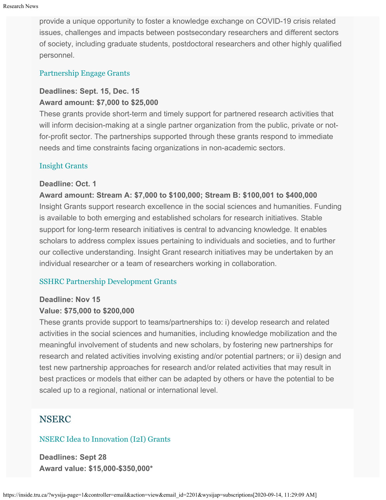provide a unique opportunity to foster a knowledge exchange on COVID-19 crisis related issues, challenges and impacts between postsecondary researchers and different sectors of society, including graduate students, postdoctoral researchers and other highly qualified personnel.

#### [Partnership Engage Grants](http://www.sshrc-crsh.gc.ca/funding-financement/programs-programmes/partnership_engage_grants-subventions_d_engagement_partenarial-eng.aspx)

#### **Deadlines: Sept. 15, Dec. 15 Award amount: \$7,000 to \$25,000**

These grants provide short-term and timely support for partnered research activities that will inform decision-making at a single partner organization from the public, private or notfor-profit sector. The partnerships supported through these grants respond to immediate needs and time constraints facing organizations in non-academic sectors.

#### [Insight Grants](http://www.sshrc-crsh.gc.ca/funding-financement/programs-programmes/insight_grants-subventions_savoir-eng.aspx)

#### **Deadline: Oct. 1**

**Award amount: Stream A: \$7,000 to \$100,000; Stream B: \$100,001 to \$400,000** Insight Grants support research excellence in the social sciences and humanities. Funding is available to both emerging and established scholars for research initiatives. Stable support for long-term research initiatives is central to advancing knowledge. It enables scholars to address complex issues pertaining to individuals and societies, and to further our collective understanding. Insight Grant research initiatives may be undertaken by an individual researcher or a team of researchers working in collaboration.

#### [SSHRC Partnership Development Grants](http://www.sshrc-crsh.gc.ca/funding-financement/programs-programmes/partnership_development_grants-subventions_partenariat_developpement-eng.aspx)

#### **Deadline: Nov 15**

#### **Value: \$75,000 to \$200,000**

These grants provide support to teams/partnerships to: i) develop research and related activities in the social sciences and humanities, including knowledge mobilization and the meaningful involvement of students and new scholars, by fostering new partnerships for research and related activities involving existing and/or potential partners; or ii) design and test new partnership approaches for research and/or related activities that may result in best practices or models that either can be adapted by others or have the potential to be scaled up to a regional, national or international level.

### NSERC

#### [NSERC Idea to Innovation \(I2I\) Grants](https://www.nserc-crsng.gc.ca/Professors-Professeurs/RPP-PP/I2I-Innov_eng.asp)

**Deadlines: Sept 28 Award value: \$15,000-\$350,000\***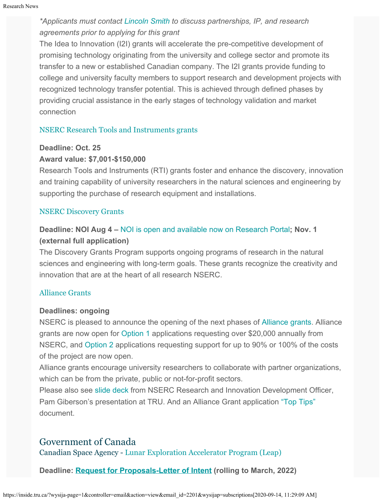## *\*Applicants must contact [Lincoln Smith](mailto:lsmith@tru.ca) to discuss partnerships, IP, and research agreements prior to applying for this grant*

The Idea to Innovation (I2I) grants will accelerate the pre-competitive development of promising technology originating from the university and college sector and promote its transfer to a new or established Canadian company. The I2I grants provide funding to college and university faculty members to support research and development projects with recognized technology transfer potential. This is achieved through defined phases by providing crucial assistance in the early stages of technology validation and market connection

#### [NSERC Research Tools and Instruments grants](http://www.nserc-crsng.gc.ca/Professors-Professeurs/RTII-OIRI/RTI-OIR_eng.asp)

#### **Deadline: Oct. 25**

#### **Award value: \$7,001-\$150,000**

Research Tools and Instruments (RTI) grants foster and enhance the discovery, innovation and training capability of university researchers in the natural sciences and engineering by supporting the purchase of research equipment and installations.

#### [NSERC Discovery Grants](http://www.nserc-crsng.gc.ca/Professors-Professeurs/DGIC-CISD_eng.asp)

## **Deadline: NOI Aug 4 –** [NOI is open and available now on Research Portal](https://www.nserc-crsng.gc.ca/Professors-Professeurs/Grants-Subs/DGIGPNotice-PSIGPAvis_eng.asp)**; Nov. 1 (external full application)**

The Discovery Grants Program supports ongoing programs of research in the natural sciences and engineering with long-term goals. These grants recognize the creativity and innovation that are at the heart of all research NSERC[.](https://www.nserc-crsng.gc.ca/Innovate-Innover/COVID-19/index_eng.asp)

#### [Alliance Grants](https://www.nserc-crsng.gc.ca/Innovate-Innover/alliance-alliance/index_eng.asp)

#### **Deadlines: ongoing**

NSERC is pleased to announce the opening of the next phases of [Alliance grants](https://www.nserc-crsng.gc.ca/Innovate-Innover/alliance-alliance/index_eng.asp). Alliance grants are now open for [Option 1](https://www.nserc-crsng.gc.ca/Innovate-Innover/alliance-alliance/funding-financement_eng.asp#option1) applications requesting over \$20,000 annually from NSERC, and [Option 2](https://www.nserc-crsng.gc.ca/Innovate-Innover/alliance-alliance/index_eng.asp) applications requesting support for up to 90% or 100% of the costs of the project are now open.

Alliance grants encourage university researchers to collaborate with partner organizations, which can be from the private, public or not-for-profit sectors.

Please also see [slide deck](https://one.tru.ca/sites/rgs/ToolsandResources/_layouts/15/WopiFrame.aspx?sourcedoc=/sites/rgs/ToolsandResources/Shared%20Documents/NSERC_ALLIANCE.pptx&action=default) from NSERC Research and Innovation Development Officer, Pam Giberson's presentation at TRU. And an Alliance Grant application ["Top Tips"](https://one.tru.ca/sites/rgs/ToolsandResources/_layouts/15/WopiFrame.aspx?sourcedoc=/sites/rgs/ToolsandResources/Shared%20Documents/Alliance%20Grant%20-%20Top%20Tips%20EN%20%20FR.pdf&action=default) document.

### Government of Canada

Canadian Space Agency - [Lunar Exploration Accelerator Program \(Leap\)](https://asc-csa.gc.ca/eng/funding-programs/programs/leap/default.asp)

**Deadline: [Request for Proposals-Letter of Intent](https://asc-csa.gc.ca/eng/funding-programs/programs/leap/default.asp) (rolling to March, 2022)**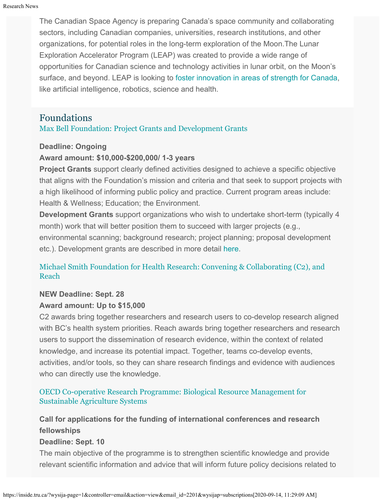The Canadian Space Agency is preparing Canada's space community and collaborating sectors, including Canadian companies, universities, research institutions, and other organizations, for potential roles in the long-term exploration of the Moon.The Lunar Exploration Accelerator Program (LEAP) was created to provide a wide range of opportunities for Canadian science and technology activities in lunar orbit, on the Moon's surface, and beyond. LEAP is looking to [foster innovation in areas of strength for Canada,](https://asc-csa.gc.ca/eng/astronomy/moon-exploration/canada-role.asp) like artificial intelligence, robotics, science and health.

## Foundations

#### [Max Bell Foundation: Project Grants and Development Grants](https://maxbell.org/our-work/granting/types-programs/)

#### **Deadline: Ongoing**

#### **Award amount: \$10,000-\$200,000/ 1-3 years**

**Project Grants** support clearly defined activities designed to achieve a specific objective that aligns with the Foundation's mission and criteria and that seek to support projects with a high likelihood of informing public policy and practice. Current program areas include: Health & Wellness; Education; the Environment.

**Development Grants** support organizations who wish to undertake short-term (typically 4 month) work that will better position them to succeed with larger projects (e.g., environmental scanning; background research; project planning; proposal development etc.). Development grants are described in more detail [here](https://maxbell.org/our-work/types-programs/).

#### [Michael Smith Foundation for Health Research: Convening & Collaborating \(C2\), and](https://www.msfhr.org/2020-convening-collaborating-competition) [Reach](https://www.msfhr.org/2020-convening-collaborating-competition)

## **NEW Deadline: Sept. 28**

#### **Award amount: Up to \$15,000**

C2 awards bring together researchers and research users to co-develop research aligned with BC's health system priorities. Reach awards bring together researchers and research users to support the dissemination of research evidence, within the context of related knowledge, and increase its potential impact. Together, teams co-develop events, activities, and/or tools, so they can share research findings and evidence with audiences who can directly use the knowledge.

#### [OECD Co-operative Research Programme:](http://www.oecd.org/agriculture/crp/applications/) [Biological Resource Management for](http://www.oecd.org/agriculture/crp/applications/) [Sustainable Agriculture Systems](http://www.oecd.org/agriculture/crp/applications/)

## **Call for applications for the funding of international conferences and research fellowships**

#### **Deadline: Sept. 10**

The main objective of the programme is to strengthen scientific knowledge and provide relevant scientific information and advice that will inform future policy decisions related to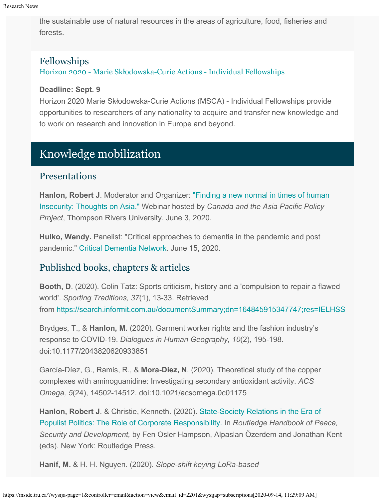the sustainable use of natural resources in the areas of agriculture, food, fisheries and forests.

## Fellowships

[Horizon 2020 - Marie Sk](https://ec.europa.eu/info/funding-tenders/opportunities/portal/screen/opportunities/topic-details/msca-if-2020)[ł](https://ec.europa.eu/info/funding-tenders/opportunities/portal/screen/opportunities/topic-details/msca-if-2020)[odowska-Curie Actions - Individual Fellowships](https://ec.europa.eu/info/funding-tenders/opportunities/portal/screen/opportunities/topic-details/msca-if-2020)

#### **Deadline: Sept. 9**

Horizon 2020 Marie Skłodowska-Curie Actions (MSCA) - Individual Fellowships provide opportunities to researchers of any nationality to acquire and transfer new knowledge and to work on research and innovation in Europe and beyond.

# Knowledge mobilization

## Presentations

**Hanlon, Robert J**. Moderator and Organizer: ["Finding a new normal in times of human](https://protect-au.mimecast.com/s/sJsNCXLW2mU0OvW6c6dAEm?domain=media.tru.ca) [Insecurity: Thoughts on Asia."](https://protect-au.mimecast.com/s/sJsNCXLW2mU0OvW6c6dAEm?domain=media.tru.ca) Webinar hosted by *Canada and the Asia Pacific Policy Project*, Thompson Rivers University. June 3, 2020.

**Hulko, Wendy.** Panelist: "Critical approaches to dementia in the pandemic and post pandemic." [Critical Dementia Network](https://memoryfriendly.org.uk/programmes/critical-dementia-network/activities-and-events/critical-approaches-in-dementia-studies-in-the-pandemic-and-post-pandemic/). June 15, 2020.

## Published books, chapters & articles

**Booth, D**. (2020). Colin Tatz: Sports criticism, history and a 'compulsion to repair a flawed world'. *Sporting Traditions, 37*(1), 13-33. Retrieved from <https://search.informit.com.au/documentSummary;dn=164845915347747;res=IELHSS>

Brydges, T., & **Hanlon, M.** (2020). Garment worker rights and the fashion industry's response to COVID-19. *Dialogues in Human Geography, 10*(2), 195-198. doi:10.1177/2043820620933851

García-Díez, G., Ramis, R., & **Mora-Diez, N**. (2020). Theoretical study of the copper complexes with aminoguanidine: Investigating secondary antioxidant activity. *ACS Omega, 5*(24), 14502-14512. doi:10.1021/acsomega.0c01175

**Hanlon, Robert J**. & Christie, Kenneth. (2020). [State-Society Relations in the Era of](https://www.routledge.com/Routledge-Handbook-of-Peace-Security-and-Development-1st-Edition/Hampson-Ozerdem-Kent/p/book/9780815397854) [Populist Politics: The Role of Corporate Responsibility.](https://www.routledge.com/Routledge-Handbook-of-Peace-Security-and-Development-1st-Edition/Hampson-Ozerdem-Kent/p/book/9780815397854) In *Routledge Handbook of Peace, Security and Development,* by Fen Osler Hampson, Alpaslan Özerdem and Jonathan Kent (eds). New York: Routledge Press.

**Hanif, M.** & H. H. Nguyen. (2020). *Slope-shift keying LoRa-based*